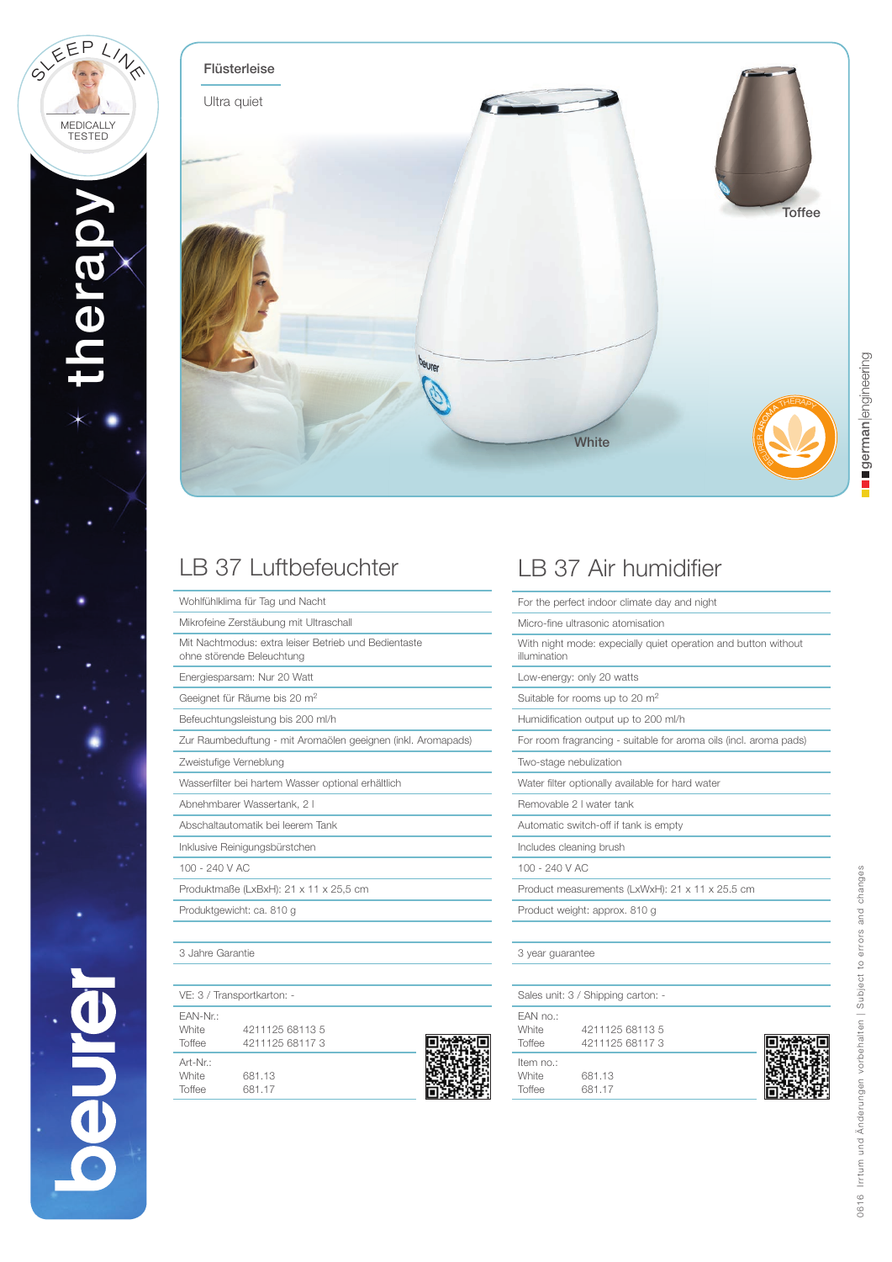



# $\equiv$

### LB 37 Luftbefeuchter

| Wohlfühlklima für Tag und Nacht                                                   |
|-----------------------------------------------------------------------------------|
| Mikrofeine Zerstäubung mit Ultraschall                                            |
| Mit Nachtmodus: extra leiser Betrieb und Bedientaste<br>ohne störende Beleuchtung |
| Energiesparsam: Nur 20 Watt                                                       |
| Geeignet für Räume bis 20 m <sup>2</sup>                                          |
| Befeuchtungsleistung bis 200 ml/h                                                 |
| Zur Raumbeduftung - mit Aromaölen geeignen (inkl. Aromapads)                      |
| Zweistufige Verneblung                                                            |
| Wasserfilter bei hartem Wasser optional erhältlich                                |
| Abnehmbarer Wassertank, 2 I                                                       |
| Abschaltautomatik bei leerem Tank                                                 |
| Inklusive Reinigungsbürstchen                                                     |
| 100 - 240 V AC                                                                    |
| Produktmaße (LxBxH): 21 x 11 x 25,5 cm                                            |
| Produktgewicht: ca. 810 g                                                         |
|                                                                                   |
| 3 Jahre Garantie                                                                  |
|                                                                                   |



## LB 37 Air humidifier

|                                                                                | For the perfect indoor climate day and night                      |  |
|--------------------------------------------------------------------------------|-------------------------------------------------------------------|--|
| Micro-fine ultrasonic atomisation                                              |                                                                   |  |
| With night mode: expecially quiet operation and button without<br>illumination |                                                                   |  |
|                                                                                | Low-energy: only 20 watts                                         |  |
| Suitable for rooms up to 20 m <sup>2</sup>                                     |                                                                   |  |
| Humidification output up to 200 ml/h                                           |                                                                   |  |
|                                                                                | For room fragrancing - suitable for aroma oils (incl. aroma pads) |  |
| Two-stage nebulization                                                         |                                                                   |  |
| Water filter optionally available for hard water                               |                                                                   |  |
|                                                                                | Removable 2 I water tank                                          |  |
| Automatic switch-off if tank is empty                                          |                                                                   |  |
| Includes cleaning brush                                                        |                                                                   |  |
| 100 - 240 V AC                                                                 |                                                                   |  |
| Product measurements (LxWxH): 21 x 11 x 25.5 cm                                |                                                                   |  |
| Product weight: approx. 810 g                                                  |                                                                   |  |
|                                                                                |                                                                   |  |
| 3 year guarantee                                                               |                                                                   |  |
|                                                                                |                                                                   |  |
|                                                                                | Sales unit: 3 / Shipping carton: -                                |  |
| FAN no ·<br>White<br>Toffee                                                    | 4211125 68113 5<br>4211125 68117 3                                |  |

Item no.:<br>White

White 681.13<br>Toffee 681.17

681.17